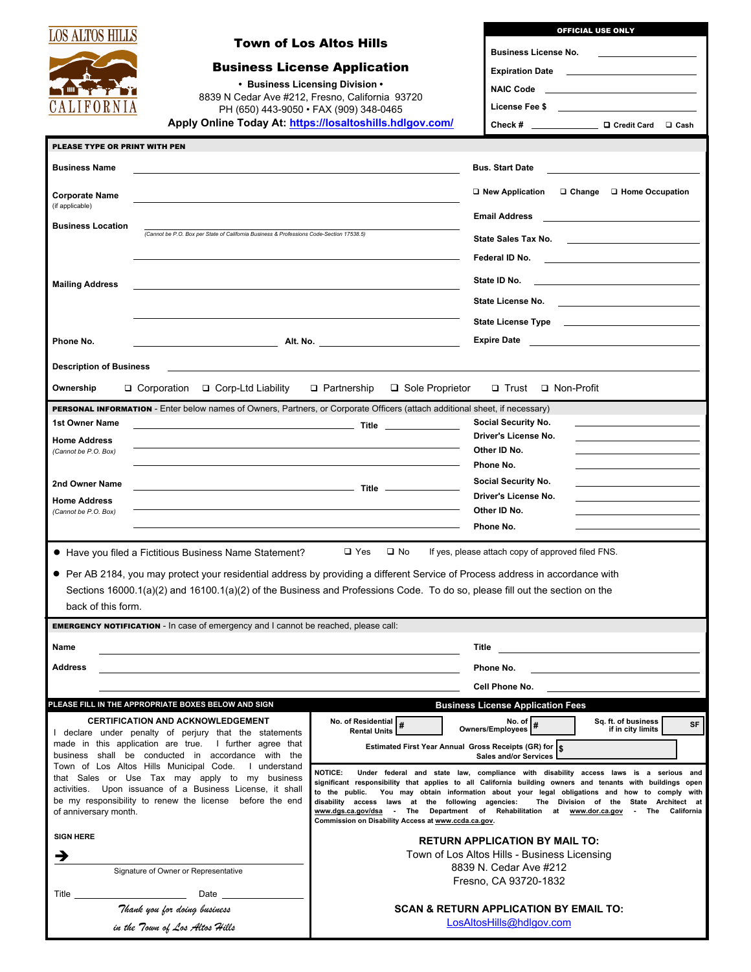| LOS ALTOS HILLS                             | <b>Town of Los Altos Hills</b>                                                                                                                                   |                                                                                                                                                                                                                                                                                                           | <b>OFFICIAL USE ONLY</b>                                                                                                                                                                                |  |  |  |  |  |
|---------------------------------------------|------------------------------------------------------------------------------------------------------------------------------------------------------------------|-----------------------------------------------------------------------------------------------------------------------------------------------------------------------------------------------------------------------------------------------------------------------------------------------------------|---------------------------------------------------------------------------------------------------------------------------------------------------------------------------------------------------------|--|--|--|--|--|
|                                             | <b>Business License Application</b>                                                                                                                              |                                                                                                                                                                                                                                                                                                           | <b>Business License No.</b>                                                                                                                                                                             |  |  |  |  |  |
|                                             |                                                                                                                                                                  |                                                                                                                                                                                                                                                                                                           |                                                                                                                                                                                                         |  |  |  |  |  |
|                                             |                                                                                                                                                                  | • Business Licensing Division •<br>8839 N Cedar Ave #212, Fresno, California 93720                                                                                                                                                                                                                        | NAIC Code <b>And Account Code</b>                                                                                                                                                                       |  |  |  |  |  |
| UALIFORN                                    |                                                                                                                                                                  | PH (650) 443-9050 · FAX (909) 348-0465                                                                                                                                                                                                                                                                    | License Fee \$ ______________________________                                                                                                                                                           |  |  |  |  |  |
|                                             |                                                                                                                                                                  | Apply Online Today At: https://losaltoshills.hdlgov.com/                                                                                                                                                                                                                                                  |                                                                                                                                                                                                         |  |  |  |  |  |
| PLEASE TYPE OR PRINT WITH PEN               |                                                                                                                                                                  |                                                                                                                                                                                                                                                                                                           |                                                                                                                                                                                                         |  |  |  |  |  |
| <b>Business Name</b>                        |                                                                                                                                                                  |                                                                                                                                                                                                                                                                                                           | <b>Bus. Start Date</b>                                                                                                                                                                                  |  |  |  |  |  |
|                                             |                                                                                                                                                                  |                                                                                                                                                                                                                                                                                                           | □ New Application<br>□ Change □ Home Occupation                                                                                                                                                         |  |  |  |  |  |
| <b>Corporate Name</b><br>(if applicable)    |                                                                                                                                                                  |                                                                                                                                                                                                                                                                                                           | <b>Email Address</b>                                                                                                                                                                                    |  |  |  |  |  |
| <b>Business Location</b>                    | (Cannot be P.O. Box per State of California Business & Professions Code-Section 17538.5)                                                                         |                                                                                                                                                                                                                                                                                                           | <u> 1980 - Jan Samuel Barbara, martin da shekara 1980 - An tsa a tsara 1980 - An tsa a tsa a tsa a tsa a tsa a ts</u>                                                                                   |  |  |  |  |  |
|                                             |                                                                                                                                                                  |                                                                                                                                                                                                                                                                                                           |                                                                                                                                                                                                         |  |  |  |  |  |
|                                             |                                                                                                                                                                  |                                                                                                                                                                                                                                                                                                           | Federal ID No.<br><u> 1980 - Andrea Andrew Maria (b. 1980)</u>                                                                                                                                          |  |  |  |  |  |
| <b>Mailing Address</b>                      |                                                                                                                                                                  |                                                                                                                                                                                                                                                                                                           | State ID No.                                                                                                                                                                                            |  |  |  |  |  |
|                                             |                                                                                                                                                                  |                                                                                                                                                                                                                                                                                                           |                                                                                                                                                                                                         |  |  |  |  |  |
|                                             |                                                                                                                                                                  |                                                                                                                                                                                                                                                                                                           |                                                                                                                                                                                                         |  |  |  |  |  |
| Phone No.                                   |                                                                                                                                                                  |                                                                                                                                                                                                                                                                                                           | Expire Date 2020 2020 2021 2021 2022 2021 2022 2022 2022 2022 2022 2022 2022 2022 2022 2022 2022 2022 2022 20                                                                                           |  |  |  |  |  |
|                                             |                                                                                                                                                                  |                                                                                                                                                                                                                                                                                                           |                                                                                                                                                                                                         |  |  |  |  |  |
| <b>Description of Business</b><br>Ownership | the control of the control of the control of the control of the control of the control of the control of the control of<br>□ Corporation<br>□ Corp-Ltd Liability | □ Sole Proprietor<br>$\Box$ Partnership                                                                                                                                                                                                                                                                   | □ Trust □ Non-Profit                                                                                                                                                                                    |  |  |  |  |  |
|                                             | PERSONAL INFORMATION - Enter below names of Owners, Partners, or Corporate Officers (attach additional sheet, if necessary)                                      |                                                                                                                                                                                                                                                                                                           |                                                                                                                                                                                                         |  |  |  |  |  |
| 1st Owner Name                              |                                                                                                                                                                  |                                                                                                                                                                                                                                                                                                           | <b>Social Security No.</b>                                                                                                                                                                              |  |  |  |  |  |
| <b>Home Address</b>                         |                                                                                                                                                                  |                                                                                                                                                                                                                                                                                                           | Driver's License No.<br>the control of the control of the control of the control of the control of                                                                                                      |  |  |  |  |  |
| (Cannot be P.O. Box)                        |                                                                                                                                                                  |                                                                                                                                                                                                                                                                                                           | Other ID No.                                                                                                                                                                                            |  |  |  |  |  |
|                                             |                                                                                                                                                                  |                                                                                                                                                                                                                                                                                                           | Phone No.                                                                                                                                                                                               |  |  |  |  |  |
| 2nd Owner Name                              |                                                                                                                                                                  |                                                                                                                                                                                                                                                                                                           | Social Security No.<br>the control of the control of the control of the control of the control of<br>Driver's License No.<br>the control of the control of the control of the control of the control of |  |  |  |  |  |
| <b>Home Address</b><br>(Cannot be P.O. Box) |                                                                                                                                                                  | the control of the control of the control of the control of                                                                                                                                                                                                                                               | Other ID No.                                                                                                                                                                                            |  |  |  |  |  |
|                                             |                                                                                                                                                                  |                                                                                                                                                                                                                                                                                                           | Phone No.                                                                                                                                                                                               |  |  |  |  |  |
|                                             | • Have you filed a Fictitious Business Name Statement?                                                                                                           | $\Box$ Yes<br>$\square$ No                                                                                                                                                                                                                                                                                | If yes, please attach copy of approved filed FNS.                                                                                                                                                       |  |  |  |  |  |
|                                             | • Per AB 2184, you may protect your residential address by providing a different Service of Process address in accordance with                                   |                                                                                                                                                                                                                                                                                                           |                                                                                                                                                                                                         |  |  |  |  |  |
|                                             | Sections 16000.1(a)(2) and 16100.1(a)(2) of the Business and Professions Code. To do so, please fill out the section on the                                      |                                                                                                                                                                                                                                                                                                           |                                                                                                                                                                                                         |  |  |  |  |  |
| back of this form.                          |                                                                                                                                                                  |                                                                                                                                                                                                                                                                                                           |                                                                                                                                                                                                         |  |  |  |  |  |
|                                             | <b>EMERGENCY NOTIFICATION</b> - In case of emergency and I cannot be reached, please call:                                                                       |                                                                                                                                                                                                                                                                                                           |                                                                                                                                                                                                         |  |  |  |  |  |
| Name                                        |                                                                                                                                                                  |                                                                                                                                                                                                                                                                                                           | <u> 1989 - Johann Barbara, martxa alemaniar a</u><br>Title                                                                                                                                              |  |  |  |  |  |
| Address                                     |                                                                                                                                                                  | Phone No.                                                                                                                                                                                                                                                                                                 |                                                                                                                                                                                                         |  |  |  |  |  |
|                                             |                                                                                                                                                                  |                                                                                                                                                                                                                                                                                                           | Cell Phone No.                                                                                                                                                                                          |  |  |  |  |  |
|                                             | PLEASE FILL IN THE APPROPRIATE BOXES BELOW AND SIGN                                                                                                              |                                                                                                                                                                                                                                                                                                           | <b>Business License Application Fees</b>                                                                                                                                                                |  |  |  |  |  |
|                                             | <b>CERTIFICATION AND ACKNOWLEDGEMENT</b>                                                                                                                         | No. of Residential $\sqrt{\frac{4}{\pi}}$<br><b>Rental Units</b>                                                                                                                                                                                                                                          | No. of Dwners/Employees<br>Sq. ft. of business<br>SF<br>if in city limits                                                                                                                               |  |  |  |  |  |
|                                             | I declare under penalty of perjury that the statements<br>made in this application are true. I further agree that                                                | Estimated First Year Annual Gross Receipts (GR) for S                                                                                                                                                                                                                                                     |                                                                                                                                                                                                         |  |  |  |  |  |
|                                             | business shall be conducted in accordance with the<br>Town of Los Altos Hills Municipal Code. I understand                                                       |                                                                                                                                                                                                                                                                                                           | <b>Sales and/or Services</b>                                                                                                                                                                            |  |  |  |  |  |
|                                             | that Sales or Use Tax may apply to my business                                                                                                                   | <b>NOTICE:</b>                                                                                                                                                                                                                                                                                            | Under federal and state law, compliance with disability access laws is a serious and                                                                                                                    |  |  |  |  |  |
|                                             | activities. Upon issuance of a Business License, it shall<br>be my responsibility to renew the license before the end                                            | significant responsibility that applies to all California building owners and tenants with buildings open<br>to the public. You may obtain information about your legal obligations and how to comply with<br>disability access laws at the following agencies:<br>The Division of the State Architect at |                                                                                                                                                                                                         |  |  |  |  |  |
| of anniversary month.                       |                                                                                                                                                                  | Commission on Disability Access at www.ccda.ca.gov.                                                                                                                                                                                                                                                       | www.dgs.ca.gov/dsa - The Department of Rehabilitation at www.dor.ca.gov - The California                                                                                                                |  |  |  |  |  |
| <b>SIGN HERE</b>                            |                                                                                                                                                                  |                                                                                                                                                                                                                                                                                                           | <b>RETURN APPLICATION BY MAIL TO:</b>                                                                                                                                                                   |  |  |  |  |  |
| →                                           |                                                                                                                                                                  | Town of Los Altos Hills - Business Licensing                                                                                                                                                                                                                                                              |                                                                                                                                                                                                         |  |  |  |  |  |
|                                             | Signature of Owner or Representative                                                                                                                             | 8839 N. Cedar Ave #212                                                                                                                                                                                                                                                                                    |                                                                                                                                                                                                         |  |  |  |  |  |
| Title                                       |                                                                                                                                                                  | Fresno, CA 93720-1832                                                                                                                                                                                                                                                                                     |                                                                                                                                                                                                         |  |  |  |  |  |
|                                             | Thank you for doing business<br><b>SCAN &amp; RETURN APPLICATION BY EMAIL TO:</b>                                                                                |                                                                                                                                                                                                                                                                                                           |                                                                                                                                                                                                         |  |  |  |  |  |
|                                             | in the Town of Los Altos Hills                                                                                                                                   | LosAltosHills@hdlgov.com                                                                                                                                                                                                                                                                                  |                                                                                                                                                                                                         |  |  |  |  |  |